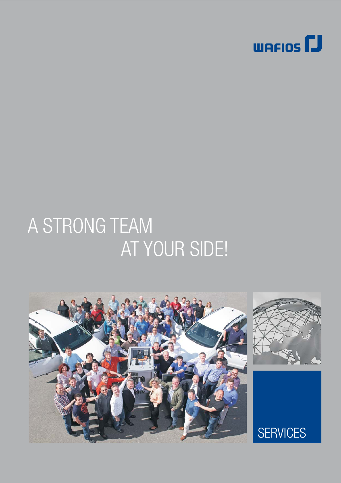

# A STRONG TEAM AT YOUR SIDE!





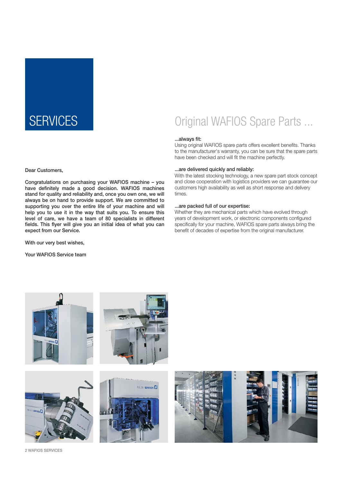### SERVICES **Original WAFIOS Spare Parts ...**

#### ...always fit:

Using original WAFIOS spare parts offers excellent benefits. Thanks to the manufacturer's warranty, you can be sure that the spare parts have been checked and will fit the machine perfectly.

#### ...are delivered quickly and reliably:

With the latest stocking technology, a new spare part stock concept and close cooperation with logistics providers we can guarantee our customers high availability as well as short response and delivery times.

#### ...are packed full of our expertise:

Whether they are mechanical parts which have evolved through years of development work, or electronic components configured specifically for your machine, WAFIOS spare parts always bring the benefit of decades of expertise from the original manufacturer.

Dear Customers,

Congratulations on purchasing your WAFIOS machine – you have definitely made a good decision. WAFIOS machines stand for quality and reliability and, once you own one, we will always be on hand to provide support. We are committed to supporting you over the entire life of your machine and will help you to use it in the way that suits you. To ensure this level of care, we have a team of 80 specialists in different fields. This flyer will give you an initial idea of what you can expect from our Service.

With our very best wishes,

Your WAFIOS Service team











2 WAFIOS SERVICES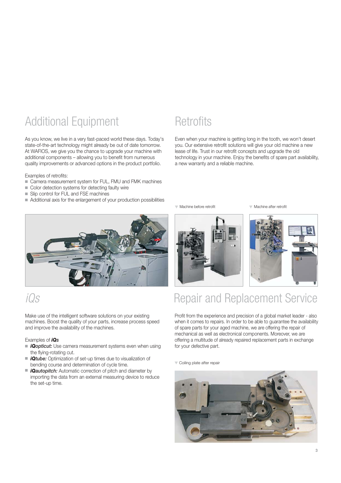### Additional Equipment

As you know, we live in a very fast-paced world these days. Today's state-of-the-art technology might already be out of date tomorrow. At WAFIOS, we give you the chance to upgrade your machine with additional components – allowing you to benefit from numerous quality improvements or advanced options in the product portfolio.

Examples of retrofits:

- Camera measurement system for FUL, FMU and FMK machines
- Color detection systems for detecting faulty wire
- Slip control for FUL and FSE machines
- Additional axis for the enlargement of your production possibilities

### **Retrofits**

Even when your machine is getting long in the tooth, we won't desert you. Our extensive retrofit solutions will give your old machine a new lease of life. Trust in our retrofit concepts and upgrade the old technology in your machine. Enjoy the benefits of spare part availability, a new warranty and a reliable machine.

Machine before retrofit Machine after retrofit

### iQs

Make use of the intelligent software solutions on your existing machines. Boost the quality of your parts, increase process speed and improve the availability of the machines.

#### Examples of *iQs*

- *iQopticut:* Use camera measurement systems even when using the flying-rotating cut.
- *iQtube:* Optimization of set-up times due to visualization of bending course and determination of cycle time.
- m. *iQautopitch:* Automatic correction of pitch and diameter by importing the data from an external measuring device to reduce the set-up time.





### Repair and Replacement Service

Profit from the experience and precision of a global market leader - also when it comes to repairs. In order to be able to guarantee the availability of spare parts for your aged machine, we are offering the repair of mechanical as well as electronical components. Moreover, we are offering a multitude of already repaired replacement parts in exchange for your defective part.

Coiling plate after repair

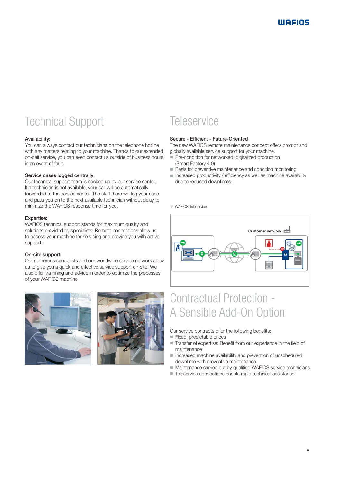### Technical Support

#### Availability:

You can always contact our technicians on the telephone hotline with any matters relating to your machine. Thanks to our extended on-call service, you can even contact us outside of business hours in an event of fault.

#### Service cases logged centrally:

Our technical support team is backed up by our service center. If a technician is not available, your call will be automatically forwarded to the service center. The staff there will log your case and pass you on to the next available technician without delay to minimize the WAFIOS response time for you.

#### Expertise:

WAFIOS technical support stands for maximum quality and solutions provided by specialists. Remote connections allow us to access your machine for servicing and provide you with active support.

#### On-site support:

Our numerous specialists and our worldwide service network allow us to give you a quick and effective service support on-site. We also offer trainining and advice in order to optimize the processes of your WAFIOS machine.





### **Teleservice**

#### Secure - Efficient - Future-Oriented

The new WAFIOS remote maintenance concept offers prompt and globally available service support for your machine.

- Pre-condition for networked, digitalized production (Smart Factory 4.0)
- Basis for preventive maintenance and condition monitoring
- $\blacksquare$  Increased productivity / efficiency as well as machine availability due to reduced downtimes.

WAFIOS Teleservice



### Contractual Protection - A Sensible Add-On Option

Our service contracts offer the following benefits:

- Fixed, predictable prices
- Transfer of expertise: Benefit from our experience in the field of maintenance
- Increased machine availability and prevention of unscheduled downtime with preventive maintenance
- Maintenance carried out by qualified WAFIOS service technicians
- Teleservice connections enable rapid technical assistance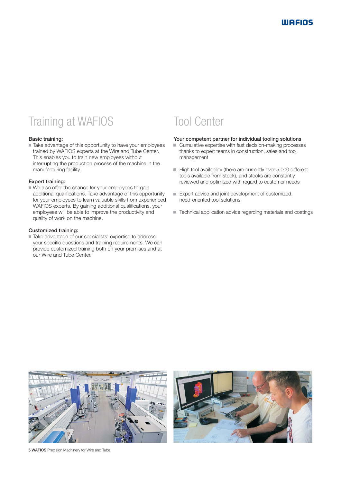### Training at WAFIOS

#### Basic training:

■ Take advantage of this opportunity to have your employees trained by WAFIOS experts at the Wire and Tube Center. This enables you to train new employees without interrupting the production process of the machine in the manufacturing facility.

#### Expert training:

We also offer the chance for your employees to gain additional qualifications. Take advantage of this opportunity for your employees to learn valuable skills from experienced WAFIOS experts. By gaining additional qualifications, your employees will be able to improve the productivity and quality of work on the machine.

#### Customized training:

Take advantage of our specialists' expertise to address your specific questions and training requirements. We can provide customized training both on your premises and at our Wire and Tube Center.

### Tool Center

#### Your competent partner for individual tooling solutions

- Cumulative expertise with fast decision-making processes thanks to expert teams in construction, sales and tool management
- High tool availability (there are currently over 5,000 different tools available from stock), and stocks are constantly reviewed and optimized with regard to customer needs
- Expert advice and joint development of customized, need-oriented tool solutions
- Technical application advice regarding materials and coatings





5 WAFIOS Precision Machinery for Wire and Tube